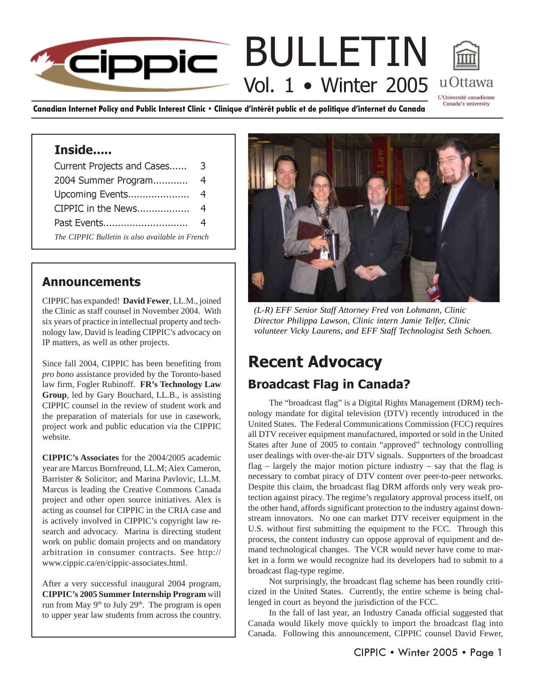### BULLETIN **Eippic** Vol. 1 • Winter 2005 u Ottawa L'Université canadienne

Canadian Internet Policy and Public Interest Clinic • Clinique d'intérêt public et de politique d'internet du Canada

### Inside.....

| Current Projects and Cases                      | 3 |
|-------------------------------------------------|---|
| 2004 Summer Program                             | 4 |
| Upcoming Events                                 | 4 |
| CIPPIC in the News                              | 4 |
| Past Events                                     | 4 |
| The CIPPIC Bulletin is also available in French |   |

### Announcements

CIPPIC has expanded! **David Fewer**, LL.M., joined the Clinic as staff counsel in November 2004. With six years of practice in intellectual property and technology law, David is leading CIPPIC's advocacy on IP matters, as well as other projects.

Since fall 2004, CIPPIC has been benefiting from *pro bono* assistance provided by the Toronto-based law firm, Fogler Rubinoff. **FR's Technology Law Group**, led by Gary Bouchard, LL.B., is assisting CIPPIC counsel in the review of student work and the preparation of materials for use in casework, project work and public education via the CIPPIC website.

**CIPPIC's Associates** for the 2004/2005 academic year are Marcus Bornfreund, LL.M; Alex Cameron, Barrister & Solicitor; and Marina Pavlovic, LL.M. Marcus is leading the Creative Commons Canada project and other open source initiatives. Alex is acting as counsel for CIPPIC in the CRIA case and is actively involved in CIPPIC's copyright law research and advocacy. Marina is directing student work on public domain projects and on mandatory arbitration in consumer contracts. See http:// www.cippic.ca/en/cippic-associates.html.

After a very successful inaugural 2004 program, **CIPPIC's 2005 Summer Internship Program** will run from May 9<sup>th</sup> to July 29<sup>th</sup>. The program is open to upper year law students from across the country.



Canada's university

*(L-R) EFF Senior Staff Attorney Fred von Lohmann, Clinic Director Philippa Lawson, Clinic intern Jamie Telfer, Clinic volunteer Vicky Laurens, and EFF Staff Technologist Seth Schoen.*

## Recent Advocacy Broadcast Flag in Canada?

The "broadcast flag" is a Digital Rights Management (DRM) technology mandate for digital television (DTV) recently introduced in the United States. The Federal Communications Commission (FCC) requires all DTV receiver equipment manufactured, imported or sold in the United States after June of 2005 to contain "approved" technology controlling user dealings with over-the-air DTV signals. Supporters of the broadcast flag – largely the major motion picture industry – say that the flag is necessary to combat piracy of DTV content over peer-to-peer networks. Despite this claim, the broadcast flag DRM affords only very weak protection against piracy. The regime's regulatory approval process itself, on the other hand, affords significant protection to the industry against downstream innovators. No one can market DTV receiver equipment in the U.S. without first submitting the equipment to the FCC. Through this process, the content industry can oppose approval of equipment and demand technological changes. The VCR would never have come to market in a form we would recognize had its developers had to submit to a broadcast flag-type regime.

Not surprisingly, the broadcast flag scheme has been roundly criticized in the United States. Currently, the entire scheme is being challenged in court as beyond the jurisdiction of the FCC.

In the fall of last year, an Industry Canada official suggested that Canada would likely move quickly to import the broadcast flag into Canada. Following this announcement, CIPPIC counsel David Fewer,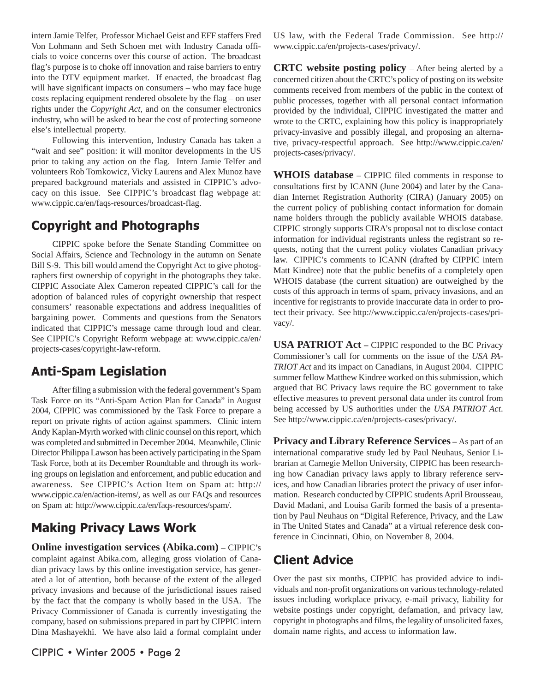intern Jamie Telfer, Professor Michael Geist and EFF staffers Fred Von Lohmann and Seth Schoen met with Industry Canada officials to voice concerns over this course of action. The broadcast flag's purpose is to choke off innovation and raise barriers to entry into the DTV equipment market. If enacted, the broadcast flag will have significant impacts on consumers – who may face huge costs replacing equipment rendered obsolete by the flag – on user rights under the *Copyright Act*, and on the consumer electronics industry, who will be asked to bear the cost of protecting someone else's intellectual property.

Following this intervention, Industry Canada has taken a "wait and see" position: it will monitor developments in the US prior to taking any action on the flag. Intern Jamie Telfer and volunteers Rob Tomkowicz, Vicky Laurens and Alex Munoz have prepared background materials and assisted in CIPPIC's advocacy on this issue. See CIPPIC's broadcast flag webpage at: www.cippic.ca/en/faqs-resources/broadcast-flag.

### Copyright and Photographs

CIPPIC spoke before the Senate Standing Committee on Social Affairs, Science and Technology in the autumn on Senate Bill S-9. This bill would amend the Copyright Act to give photographers first ownership of copyright in the photographs they take. CIPPIC Associate Alex Cameron repeated CIPPIC's call for the adoption of balanced rules of copyright ownership that respect consumers' reasonable expectations and address inequalities of bargaining power. Comments and questions from the Senators indicated that CIPPIC's message came through loud and clear. See CIPPIC's Copyright Reform webpage at: www.cippic.ca/en/ projects-cases/copyright-law-reform.

### Anti-Spam Legislation

After filing a submission with the federal government's Spam Task Force on its "Anti-Spam Action Plan for Canada" in August 2004, CIPPIC was commissioned by the Task Force to prepare a report on private rights of action against spammers. Clinic intern Andy Kaplan-Myrth worked with clinic counsel on this report, which was completed and submitted in December 2004. Meanwhile, Clinic Director Philippa Lawson has been actively participating in the Spam Task Force, both at its December Roundtable and through its working groups on legislation and enforcement, and public education and awareness. See CIPPIC's Action Item on Spam at: http:// www.cippic.ca/en/action-items/, as well as our FAQs and resources on Spam at: http://www.cippic.ca/en/faqs-resources/spam/.

## Making Privacy Laws Work

**Online investigation services (Abika.com)** – CIPPIC's complaint against Abika.com, alleging gross violation of Canadian privacy laws by this online investigation service, has generated a lot of attention, both because of the extent of the alleged privacy invasions and because of the jurisdictional issues raised by the fact that the company is wholly based in the USA. The Privacy Commissioner of Canada is currently investigating the company, based on submissions prepared in part by CIPPIC intern Dina Mashayekhi. We have also laid a formal complaint under US law, with the Federal Trade Commission. See http:// www.cippic.ca/en/projects-cases/privacy/.

**CRTC website posting policy** – After being alerted by a concerned citizen about the CRTC's policy of posting on its website comments received from members of the public in the context of public processes, together with all personal contact information provided by the individual, CIPPIC investigated the matter and wrote to the CRTC, explaining how this policy is inappropriately privacy-invasive and possibly illegal, and proposing an alternative, privacy-respectful approach. See http://www.cippic.ca/en/ projects-cases/privacy/.

**WHOIS database –** CIPPIC filed comments in response to consultations first by ICANN (June 2004) and later by the Canadian Internet Registration Authority (CIRA) (January 2005) on the current policy of publishing contact information for domain name holders through the publicly available WHOIS database. CIPPIC strongly supports CIRA's proposal not to disclose contact information for individual registrants unless the registrant so requests, noting that the current policy violates Canadian privacy law. CIPPIC's comments to ICANN (drafted by CIPPIC intern Matt Kindree) note that the public benefits of a completely open WHOIS database (the current situation) are outweighed by the costs of this approach in terms of spam, privacy invasions, and an incentive for registrants to provide inaccurate data in order to protect their privacy. See http://www.cippic.ca/en/projects-cases/privacy/.

**USA PATRIOT Act – CIPPIC responded to the BC Privacy** Commissioner's call for comments on the issue of the *USA PA-TRIOT Act* and its impact on Canadians, in August 2004. CIPPIC summer fellow Matthew Kindree worked on this submission, which argued that BC Privacy laws require the BC government to take effective measures to prevent personal data under its control from being accessed by US authorities under the *USA PATRIOT Act*. See http://www.cippic.ca/en/projects-cases/privacy/.

**Privacy and Library Reference Services –** As part of an international comparative study led by Paul Neuhaus, Senior Librarian at Carnegie Mellon University, CIPPIC has been researching how Canadian privacy laws apply to library reference services, and how Canadian libraries protect the privacy of user information. Research conducted by CIPPIC students April Brousseau, David Madani, and Louisa Garib formed the basis of a presentation by Paul Neuhaus on "Digital Reference, Privacy, and the Law in The United States and Canada" at a virtual reference desk conference in Cincinnati, Ohio, on November 8, 2004.

### Client Advice

Over the past six months, CIPPIC has provided advice to individuals and non-profit organizations on various technology-related issues including workplace privacy, e-mail privacy, liability for website postings under copyright, defamation, and privacy law, copyright in photographs and films, the legality of unsolicited faxes, domain name rights, and access to information law.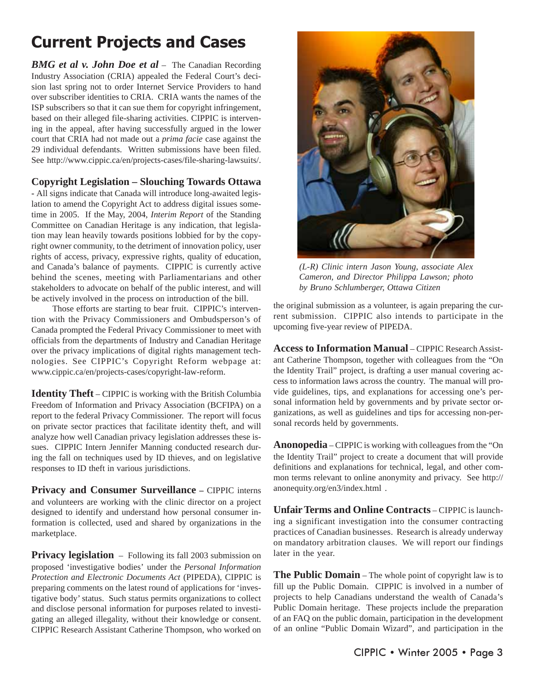# Current Projects and Cases

*BMG et al v. John Doe et al* – The Canadian Recording Industry Association (CRIA) appealed the Federal Court's decision last spring not to order Internet Service Providers to hand over subscriber identities to CRIA. CRIA wants the names of the ISP subscribers so that it can sue them for copyright infringement, based on their alleged file-sharing activities. CIPPIC is intervening in the appeal, after having successfully argued in the lower court that CRIA had not made out a *prima facie* case against the 29 individual defendants. Written submissions have been filed. See http://www.cippic.ca/en/projects-cases/file-sharing-lawsuits/.

#### **Copyright Legislation – Slouching Towards Ottawa**

**-** All signs indicate that Canada will introduce long-awaited legislation to amend the Copyright Act to address digital issues sometime in 2005. If the May, 2004, *Interim Report* of the Standing Committee on Canadian Heritage is any indication, that legislation may lean heavily towards positions lobbied for by the copyright owner community, to the detriment of innovation policy, user rights of access, privacy, expressive rights, quality of education, and Canada's balance of payments. CIPPIC is currently active behind the scenes, meeting with Parliamentarians and other stakeholders to advocate on behalf of the public interest, and will be actively involved in the process on introduction of the bill.

Those efforts are starting to bear fruit. CIPPIC's intervention with the Privacy Commissioners and Ombudsperson's of Canada prompted the Federal Privacy Commissioner to meet with officials from the departments of Industry and Canadian Heritage over the privacy implications of digital rights management technologies. See CIPPIC's Copyright Reform webpage at: www.cippic.ca/en/projects-cases/copyright-law-reform.

**Identity Theft** – CIPPIC is working with the British Columbia Freedom of Information and Privacy Association (BCFIPA) on a report to the federal Privacy Commissioner. The report will focus on private sector practices that facilitate identity theft, and will analyze how well Canadian privacy legislation addresses these issues. CIPPIC Intern Jennifer Manning conducted research during the fall on techniques used by ID thieves, and on legislative responses to ID theft in various jurisdictions.

**Privacy and Consumer Surveillance –** CIPPIC interns and volunteers are working with the clinic director on a project designed to identify and understand how personal consumer information is collected, used and shared by organizations in the marketplace.

**Privacy legislation** – Following its fall 2003 submission on proposed 'investigative bodies' under the *Personal Information Protection and Electronic Documents Act* (PIPEDA), CIPPIC is preparing comments on the latest round of applications for 'investigative body' status. Such status permits organizations to collect and disclose personal information for purposes related to investigating an alleged illegality, without their knowledge or consent. CIPPIC Research Assistant Catherine Thompson, who worked on



*(L-R) Clinic intern Jason Young, associate Alex Cameron, and Director Philippa Lawson; photo by Bruno Schlumberger, Ottawa Citizen*

the original submission as a volunteer, is again preparing the current submission. CIPPIC also intends to participate in the upcoming five-year review of PIPEDA.

**Access to Information Manual** – CIPPIC Research Assistant Catherine Thompson, together with colleagues from the "On the Identity Trail" project, is drafting a user manual covering access to information laws across the country. The manual will provide guidelines, tips, and explanations for accessing one's personal information held by governments and by private sector organizations, as well as guidelines and tips for accessing non-personal records held by governments.

**Anonopedia** – CIPPIC is working with colleagues from the "On the Identity Trail" project to create a document that will provide definitions and explanations for technical, legal, and other common terms relevant to online anonymity and privacy. See http:// anonequity.org/en3/index.html .

**Unfair Terms and Online Contracts** – CIPPIC is launching a significant investigation into the consumer contracting practices of Canadian businesses. Research is already underway on mandatory arbitration clauses. We will report our findings later in the year.

**The Public Domain** – The whole point of copyright law is to fill up the Public Domain. CIPPIC is involved in a number of projects to help Canadians understand the wealth of Canada's Public Domain heritage. These projects include the preparation of an FAQ on the public domain, participation in the development of an online "Public Domain Wizard", and participation in the